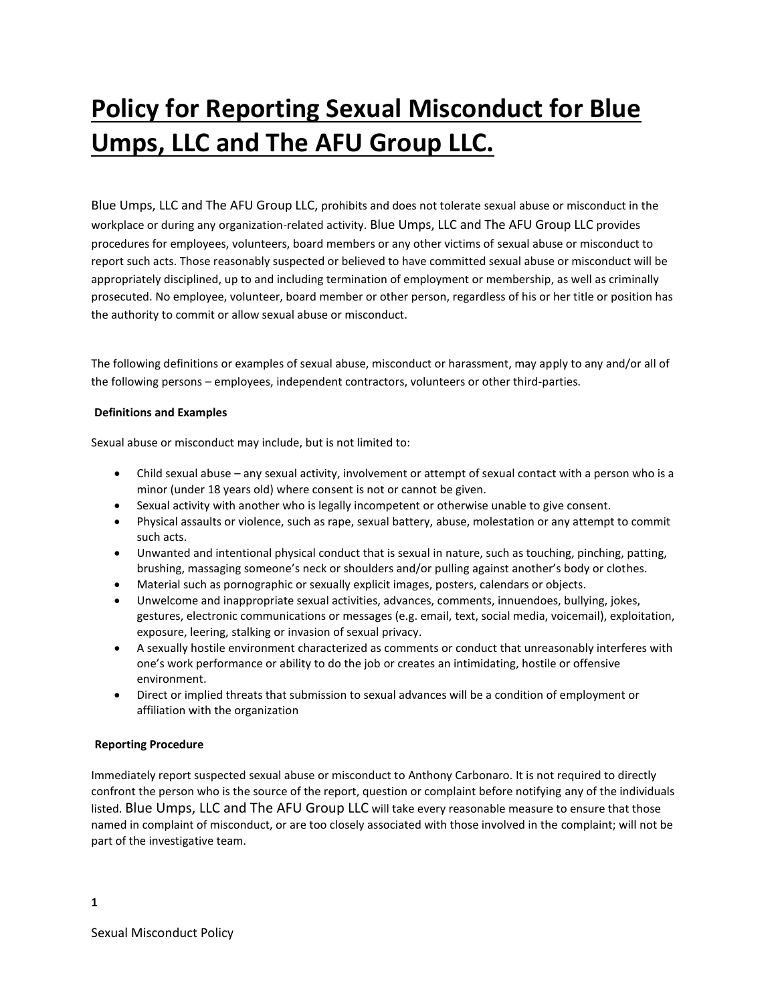# **Policy for Reporting Sexual Misconduct for Blue Umps, LLC and The AFU Group LLC.**

Blue Umps, LLC and The AFU Group LLC, prohibits and does not tolerate sexual abuse or misconduct in the workplace or during any organization-related activity. Blue Umps, LLC and The AFU Group LLC provides procedures for employees, volunteers, board members or any other victims of sexual abuse or misconduct to report such acts. Those reasonably suspected or believed to have committed sexual abuse or misconduct will be appropriately disciplined, up to and including termination of employment or membership, as well as criminally prosecuted. No employee, volunteer, board member or other person, regardless of his or her title or position has the authority to commit or allow sexual abuse or misconduct.

The following definitions or examples of sexual abuse, misconduct or harassment, may apply to any and/or all of the following persons – employees, independent contractors, volunteers or other third-parties.

# **Definitions and Examples**

Sexual abuse or misconduct may include, but is not limited to:

- Child sexual abuse any sexual activity, involvement or attempt of sexual contact with a person who is a minor (under 18 years old) where consent is not or cannot be given.
- Sexual activity with another who is legally incompetent or otherwise unable to give consent.
- Physical assaults or violence, such as rape, sexual battery, abuse, molestation or any attempt to commit such acts.
- Unwanted and intentional physical conduct that is sexual in nature, such as touching, pinching, patting, brushing, massaging someone's neck or shoulders and/or pulling against another's body or clothes.
- Material such as pornographic or sexually explicit images, posters, calendars or objects.
- Unwelcome and inappropriate sexual activities, advances, comments, innuendoes, bullying, jokes, gestures, electronic communications or messages (e.g. email, text, social media, voicemail), exploitation, exposure, leering, stalking or invasion of sexual privacy.
- A sexually hostile environment characterized as comments or conduct that unreasonably interferes with one's work performance or ability to do the job or creates an intimidating, hostile or offensive environment.
- Direct or implied threats that submission to sexual advances will be a condition of employment or affiliation with the organization

### **Reporting Procedure**

Immediately report suspected sexual abuse or misconduct to Anthony Carbonaro. It is not required to directly confront the person who is the source of the report, question or complaint before notifying any of the individuals listed. Blue Umps, LLC and The AFU Group LLC will take every reasonable measure to ensure that those named in complaint of misconduct, or are too closely associated with those involved in the complaint; will not be part of the investigative team.

**1**